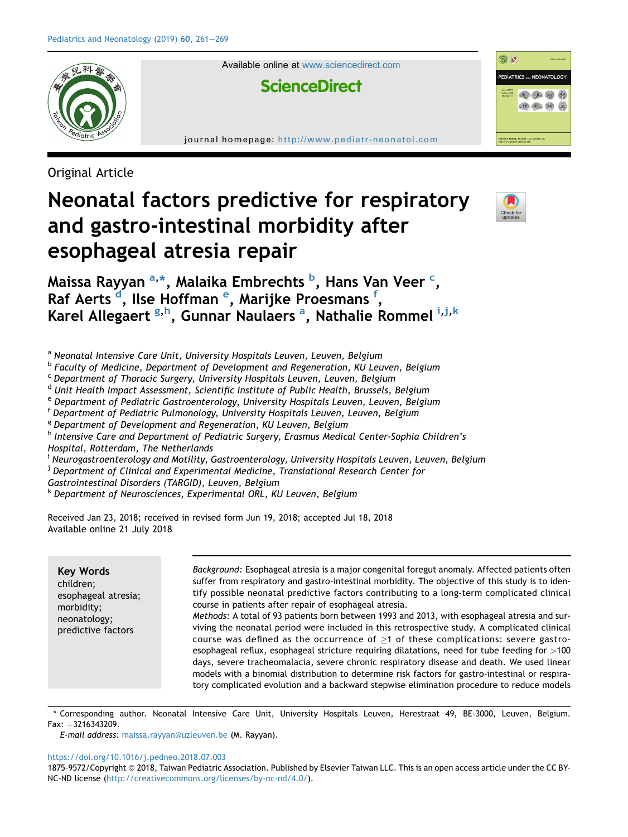

Available online at [www.sciencedirect.com](www.sciencedirect.com/science/journal/18759572)

# **ScienceDirect**

journal homepage: <http://www.pediatr-neonatol.com>

Original Article

# Neonatal factors predictive for respiratory and gastro-intestinal morbidity after esophageal atresia repair



<u>කි ව</u>

PEDIATRICS and NEONATOLOGY **E QOUN** 化小的角

Maissa Rayyan <sup>a,</sup>\*, Malaika Embrechts <sup>b</sup>, Hans Van Veer <sup>c</sup>, Raf Aerts <sup>d</sup>, Ilse Hoffman <sup>e</sup>, Marijke Proesmans <sup>f</sup>, Karel Allegaert <sup>g,h</sup>, Gunnar Naulaers <sup>a</sup>, Nathalie Rommel i,j,k

a Neonatal Intensive Care Unit, University Hospitals Leuven, Leuven, Belgium

<sup>b</sup> Faculty of Medicine, Department of Development and Regeneration, KU Leuven, Belgium

<sup>c</sup> Department of Thoracic Surgery, University Hospitals Leuven, Leuven, Belgium

<sup>d</sup> Unit Health Impact Assessment, Scientific Institute of Public Health, Brussels, Belgium

<sup>e</sup> Department of Pediatric Gastroenterology, University Hospitals Leuven, Leuven, Belgium

<sup>f</sup> Department of Pediatric Pulmonology, University Hospitals Leuven, Leuven, Belgium

<sup>g</sup> Department of Development and Regeneration, KU Leuven, Belgium

<sup>h</sup> Intensive Care and Department of Pediatric Surgery, Erasmus Medical Center-Sophia Children's Hospital, Rotterdam, The Netherlands

<sup>i</sup> Neurogastroenterology and Motility, Gastroenterology, University Hospitals Leuven, Leuven, Belgium

<sup>j</sup> Department of Clinical and Experimental Medicine, Translational Research Center for

Gastrointestinal Disorders (TARGID), Leuven, Belgium

<sup>k</sup> Department of Neurosciences, Experimental ORL, KU Leuven, Belgium

Received Jan 23, 2018; received in revised form Jun 19, 2018; accepted Jul 18, 2018 Available online 21 July 2018

| <b>Key Words</b><br>children;                                           | Background: Esophageal atresia is a major congenital foregut anomaly. Affected patients often<br>suffer from respiratory and gastro-intestinal morbidity. The objective of this study is to iden- |
|-------------------------------------------------------------------------|---------------------------------------------------------------------------------------------------------------------------------------------------------------------------------------------------|
| esophageal atresia;<br>morbidity;<br>neonatology;<br>predictive factors | tify possible neonatal predictive factors contributing to a long-term complicated clinical<br>course in patients after repair of esophageal atresia.                                              |
|                                                                         | Methods: A total of 93 patients born between 1993 and 2013, with esophageal atresia and sur-<br>viving the neonatal period were included in this retrospective study. A complicated clinical      |
|                                                                         | course was defined as the occurrence of $>1$ of these complications: severe gastro-<br>esophageal reflux, esophageal stricture requiring dilatations, need for tube feeding for >100              |
|                                                                         | days, severe tracheomalacia, severe chronic respiratory disease and death. We used linear<br>models with a binomial distribution to determine risk factors for gastro-intestinal or respira-      |
|                                                                         | tory complicated evolution and a backward stepwise elimination procedure to reduce models                                                                                                         |

\* Corresponding author. Neonatal Intensive Care Unit, University Hospitals Leuven, Herestraat 49, BE-3000, Leuven, Belgium. Fax: +3216343209.

E-mail address: [maissa.rayyan@uzleuven.be](mailto:maissa.rayyan@uzleuven.be) (M. Rayyan).

<https://doi.org/10.1016/j.pedneo.2018.07.003>

1875-9572/Copyright © 2018, Taiwan Pediatric Association. Published by Elsevier Taiwan LLC. This is an open access article under the CC BY-NC-ND license [\(http://creativecommons.org/licenses/by-nc-nd/4.0/\)](http://creativecommons.org/licenses/by-nc-nd/4.0/).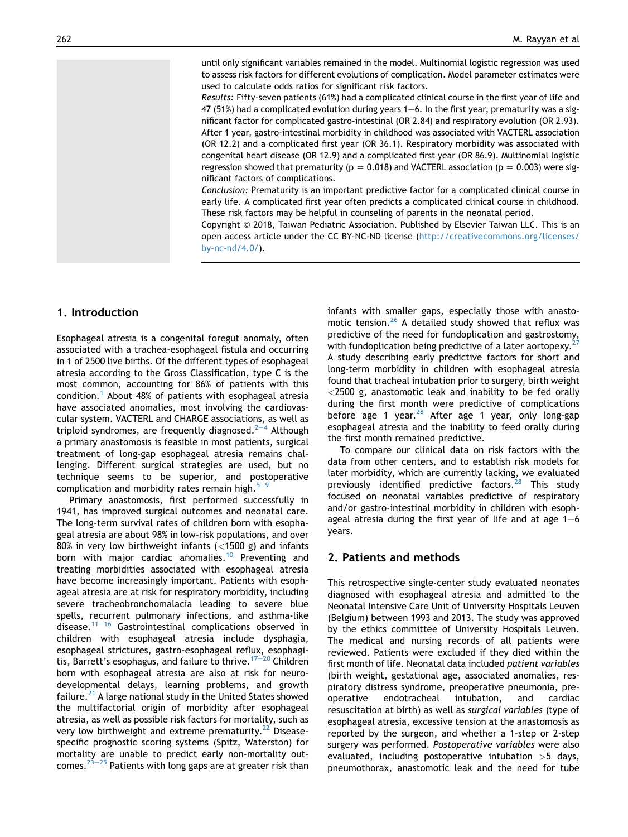until only significant variables remained in the model. Multinomial logistic regression was used to assess risk factors for different evolutions of complication. Model parameter estimates were used to calculate odds ratios for significant risk factors.

Results: Fifty-seven patients (61%) had a complicated clinical course in the first year of life and 47 (51%) had a complicated evolution during years  $1-6$ . In the first year, prematurity was a significant factor for complicated gastro-intestinal (OR 2.84) and respiratory evolution (OR 2.93). After 1 year, gastro-intestinal morbidity in childhood was associated with VACTERL association (OR 12.2) and a complicated first year (OR 36.1). Respiratory morbidity was associated with congenital heart disease (OR 12.9) and a complicated first year (OR 86.9). Multinomial logistic regression showed that prematurity ( $p = 0.018$ ) and VACTERL association ( $p = 0.003$ ) were significant factors of complications.

Conclusion: Prematurity is an important predictive factor for a complicated clinical course in early life. A complicated first year often predicts a complicated clinical course in childhood. These risk factors may be helpful in counseling of parents in the neonatal period.

Copyright © 2018, Taiwan Pediatric Association. Published by Elsevier Taiwan LLC. This is an open access article under the CC BY-NC-ND license ([http://creativecommons.org/licenses/](http://creativecommons.org/licenses/by-nc-nd/4.0/) [by-nc-nd/4.0/\)](http://creativecommons.org/licenses/by-nc-nd/4.0/).

# 1. Introduction

Esophageal atresia is a congenital foregut anomaly, often associated with a trachea-esophageal fistula and occurring in 1 of 2500 live births. Of the different types of esophageal atresia according to the Gross Classification, type C is the most common, accounting for 86% of patients with this condition.[1](#page-7-0) About 48% of patients with esophageal atresia have associated anomalies, most involving the cardiovascular system. VACTERL and CHARGE associations, as well as triploid syndromes, are frequently diagnosed.<sup>[2](#page-7-0)-[4](#page-7-0)</sup> Although a primary anastomosis is feasible in most patients, surgical treatment of long-gap esophageal atresia remains challenging. Different surgical strategies are used, but no technique seems to be superior, and postoperative complication and morbidity rates remain high. $5 5-$ 

Primary anastomosis, first performed successfully in 1941, has improved surgical outcomes and neonatal care. The long-term survival rates of children born with esophageal atresia are about 98% in low-risk populations, and over 80% in very low birthweight infants (<1500 g) and infants born with major cardiac anomalies.<sup>[10](#page-8-0)</sup> Preventing and treating morbidities associated with esophageal atresia have become increasingly important. Patients with esophageal atresia are at risk for respiratory morbidity, including severe tracheobronchomalacia leading to severe blue spells, recurrent pulmonary infections, and asthma-like disease. $11-16$  $11-16$  $11-16$  Gastrointestinal complications observed in children with esophageal atresia include dysphagia, esophageal strictures, gastro-esophageal reflux, esophagitis, Barrett's esophagus, and failure to thrive. $17-20$  $17-20$  $17-20$  Children born with esophageal atresia are also at risk for neurodevelopmental delays, learning problems, and growth failure. $^{21}$  $^{21}$  $^{21}$  A large national study in the United States showed the multifactorial origin of morbidity after esophageal atresia, as well as possible risk factors for mortality, such as very low birthweight and extreme prematurity.<sup>[22](#page-8-0)</sup> Diseasespecific prognostic scoring systems (Spitz, Waterston) for mortality are unable to predict early non-mortality out-comes.<sup>23–[25](#page-8-0)</sup> Patients with long gaps are at greater risk than infants with smaller gaps, especially those with anastomotic tension[.26](#page-8-0) A detailed study showed that reflux was predictive of the need for fundoplication and gastrostomy, with fundoplication being predictive of a later aortopexy.<sup>2</sup> A study describing early predictive factors for short and long-term morbidity in children with esophageal atresia found that tracheal intubation prior to surgery, birth weight <2500 g, anastomotic leak and inability to be fed orally during the first month were predictive of complications before age 1 year.<sup>28</sup> After age 1 year, only long-gap esophageal atresia and the inability to feed orally during the first month remained predictive.

To compare our clinical data on risk factors with the data from other centers, and to establish risk models for later morbidity, which are currently lacking, we evaluated previously identified predictive factors.<sup>[28](#page-8-0)</sup> This study focused on neonatal variables predictive of respiratory and/or gastro-intestinal morbidity in children with esophageal atresia during the first year of life and at age  $1-6$ years.

### 2. Patients and methods

This retrospective single-center study evaluated neonates diagnosed with esophageal atresia and admitted to the Neonatal Intensive Care Unit of University Hospitals Leuven (Belgium) between 1993 and 2013. The study was approved by the ethics committee of University Hospitals Leuven. The medical and nursing records of all patients were reviewed. Patients were excluded if they died within the first month of life. Neonatal data included patient variables (birth weight, gestational age, associated anomalies, respiratory distress syndrome, preoperative pneumonia, preoperative endotracheal intubation, and cardiac resuscitation at birth) as well as surgical variables (type of esophageal atresia, excessive tension at the anastomosis as reported by the surgeon, and whether a 1-step or 2-step surgery was performed. Postoperative variables were also evaluated, including postoperative intubation  $>5$  days, pneumothorax, anastomotic leak and the need for tube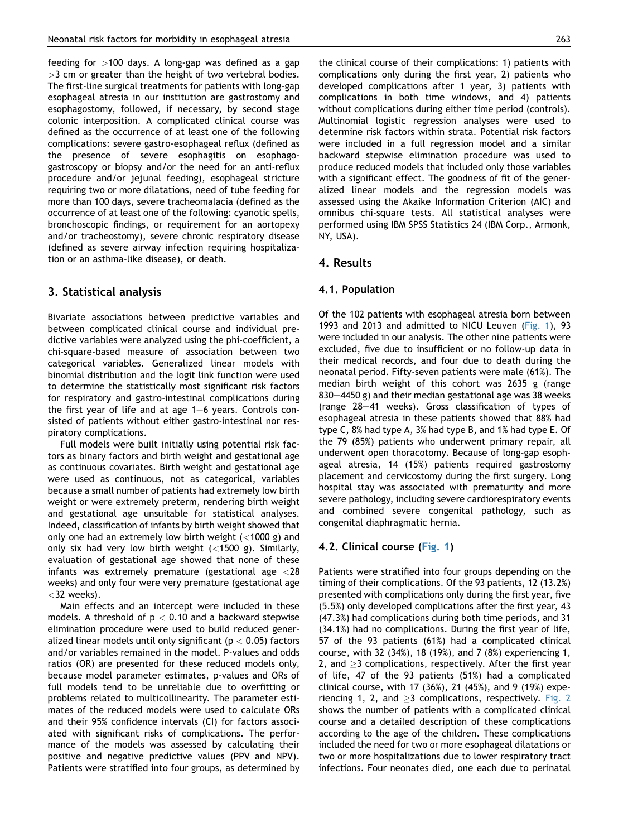feeding for  $>100$  days. A long-gap was defined as a gap  $>$ 3 cm or greater than the height of two vertebral bodies. The first-line surgical treatments for patients with long-gap esophageal atresia in our institution are gastrostomy and esophagostomy, followed, if necessary, by second stage colonic interposition. A complicated clinical course was defined as the occurrence of at least one of the following complications: severe gastro-esophageal reflux (defined as the presence of severe esophagitis on esophagogastroscopy or biopsy and/or the need for an anti-reflux procedure and/or jejunal feeding), esophageal stricture requiring two or more dilatations, need of tube feeding for more than 100 days, severe tracheomalacia (defined as the occurrence of at least one of the following: cyanotic spells, bronchoscopic findings, or requirement for an aortopexy and/or tracheostomy), severe chronic respiratory disease (defined as severe airway infection requiring hospitalization or an asthma-like disease), or death.

# 3. Statistical analysis

Bivariate associations between predictive variables and between complicated clinical course and individual predictive variables were analyzed using the phi-coefficient, a chi-square-based measure of association between two categorical variables. Generalized linear models with binomial distribution and the logit link function were used to determine the statistically most significant risk factors for respiratory and gastro-intestinal complications during the first year of life and at age  $1-6$  years. Controls consisted of patients without either gastro-intestinal nor respiratory complications.

Full models were built initially using potential risk factors as binary factors and birth weight and gestational age as continuous covariates. Birth weight and gestational age were used as continuous, not as categorical, variables because a small number of patients had extremely low birth weight or were extremely preterm, rendering birth weight and gestational age unsuitable for statistical analyses. Indeed, classification of infants by birth weight showed that only one had an extremely low birth weight (<1000 g) and only six had very low birth weight  $(<1500$  g). Similarly, evaluation of gestational age showed that none of these infants was extremely premature (gestational age  $\langle 28 \rangle$ weeks) and only four were very premature (gestational age  $<$ 32 weeks).

Main effects and an intercept were included in these models. A threshold of  $p < 0.10$  and a backward stepwise elimination procedure were used to build reduced generalized linear models until only significant ( $p < 0.05$ ) factors and/or variables remained in the model. P-values and odds ratios (OR) are presented for these reduced models only, because model parameter estimates, p-values and ORs of full models tend to be unreliable due to overfitting or problems related to multicollinearity. The parameter estimates of the reduced models were used to calculate ORs and their 95% confidence intervals (CI) for factors associated with significant risks of complications. The performance of the models was assessed by calculating their positive and negative predictive values (PPV and NPV). Patients were stratified into four groups, as determined by the clinical course of their complications: 1) patients with complications only during the first year, 2) patients who developed complications after 1 year, 3) patients with complications in both time windows, and 4) patients without complications during either time period (controls). Multinomial logistic regression analyses were used to determine risk factors within strata. Potential risk factors were included in a full regression model and a similar backward stepwise elimination procedure was used to produce reduced models that included only those variables with a significant effect. The goodness of fit of the generalized linear models and the regression models was assessed using the Akaike Information Criterion (AIC) and omnibus chi-square tests. All statistical analyses were performed using IBM SPSS Statistics 24 (IBM Corp., Armonk, NY, USA).

#### 4. Results

#### 4.1. Population

Of the 102 patients with esophageal atresia born between 1993 and 2013 and admitted to NICU Leuven ([Fig. 1\)](#page-3-0), 93 were included in our analysis. The other nine patients were excluded, five due to insufficient or no follow-up data in their medical records, and four due to death during the neonatal period. Fifty-seven patients were male (61%). The median birth weight of this cohort was 2635 g (range 830–4450 g) and their median gestational age was 38 weeks (range  $28-41$  weeks). Gross classification of types of esophageal atresia in these patients showed that 88% had type C, 8% had type A, 3% had type B, and 1% had type E. Of the 79 (85%) patients who underwent primary repair, all underwent open thoracotomy. Because of long-gap esophageal atresia, 14 (15%) patients required gastrostomy placement and cervicostomy during the first surgery. Long hospital stay was associated with prematurity and more severe pathology, including severe cardiorespiratory events and combined severe congenital pathology, such as congenital diaphragmatic hernia.

#### 4.2. Clinical course [\(Fig. 1\)](#page-3-0)

Patients were stratified into four groups depending on the timing of their complications. Of the 93 patients, 12 (13.2%) presented with complications only during the first year, five (5.5%) only developed complications after the first year, 43 (47.3%) had complications during both time periods, and 31 (34.1%) had no complications. During the first year of life, 57 of the 93 patients (61%) had a complicated clinical course, with 32 (34%), 18 (19%), and 7 (8%) experiencing 1, 2, and  $\geq$ 3 complications, respectively. After the first year of life, 47 of the 93 patients (51%) had a complicated clinical course, with 17 (36%), 21 (45%), and 9 (19%) experiencing 1, 2, and  $\geq$ 3 complications, respectively. [Fig. 2](#page-4-0) shows the number of patients with a complicated clinical course and a detailed description of these complications according to the age of the children. These complications included the need for two or more esophageal dilatations or two or more hospitalizations due to lower respiratory tract infections. Four neonates died, one each due to perinatal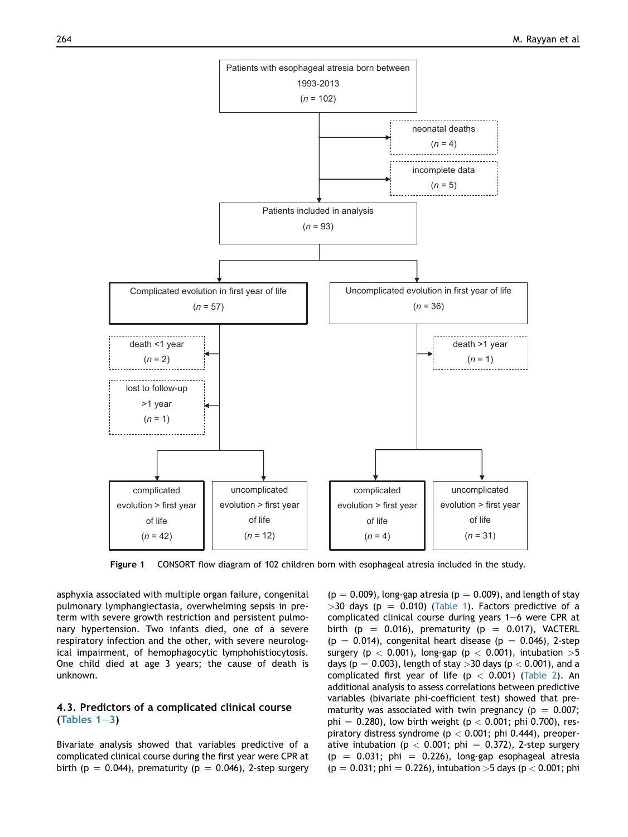<span id="page-3-0"></span>

Figure 1 CONSORT flow diagram of 102 children born with esophageal atresia included in the study.

asphyxia associated with multiple organ failure, congenital pulmonary lymphangiectasia, overwhelming sepsis in preterm with severe growth restriction and persistent pulmonary hypertension. Two infants died, one of a severe respiratory infection and the other, with severe neurological impairment, of hemophagocytic lymphohistiocytosis. One child died at age 3 years; the cause of death is unknown.

#### 4.3. Predictors of a complicated clinical course (Tables  $1-3$ )

Bivariate analysis showed that variables predictive of a complicated clinical course during the first year were CPR at birth (p = 0.044), prematurity (p = 0.046), 2-step surgery

 $(p = 0.009)$ , long-gap atresia ( $p = 0.009$ ), and length of stay  $>$ 30 days (p = 0.010) [\(Table 1](#page-4-0)). Factors predictive of a complicated clinical course during years  $1-6$  were CPR at birth (p = 0.016), prematurity (p = 0.017), VACTERL  $(p = 0.014)$ , congenital heart disease  $(p = 0.046)$ , 2-step surgery ( $p < 0.001$ ), long-gap ( $p < 0.001$ ), intubation >5 days ( $p = 0.003$ ), length of stay  $>$ 30 days ( $p < 0.001$ ), and a complicated first year of life ( $p < 0.001$ ) [\(Table 2](#page-5-0)). An additional analysis to assess correlations between predictive variables (bivariate phi-coefficient test) showed that prematurity was associated with twin pregnancy ( $p = 0.007$ ; phi = 0.280), low birth weight (p < 0.001; phi 0.700), respiratory distress syndrome ( $p < 0.001$ ; phi 0.444), preoperative intubation (p < 0.001; phi = 0.372), 2-step surgery  $(p = 0.031; \; \text{phi} = 0.226)$ , long-gap esophageal atresia  $(p = 0.031; \, \text{phi} = 0.226)$ , intubation >5 days (p < 0.001; phi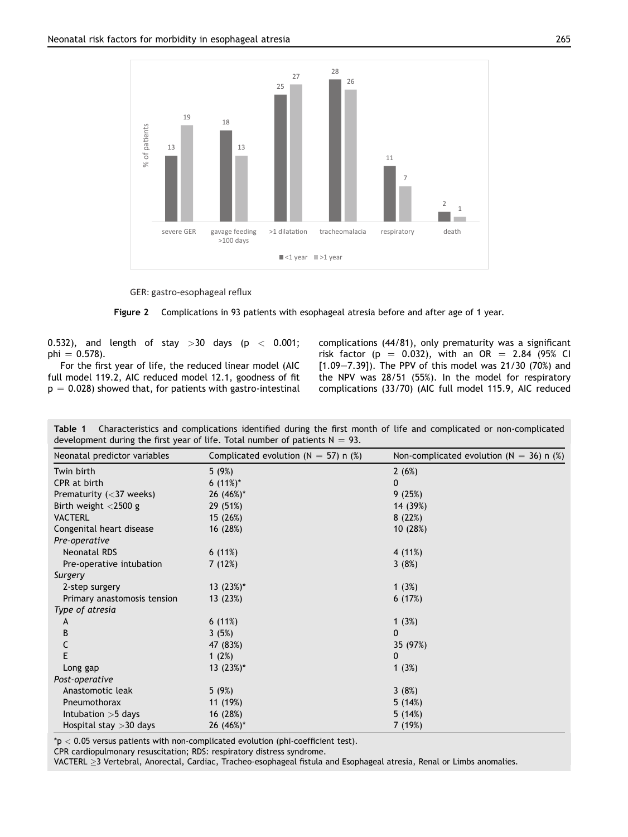<span id="page-4-0"></span>

GER: gastro-esophageal reflux

Figure 2 Complications in 93 patients with esophageal atresia before and after age of 1 year.

0.532), and length of stay  $>30$  days (p  $<$  0.001; phi =  $0.578$ ).

For the first year of life, the reduced linear model (AIC full model 119.2, AIC reduced model 12.1, goodness of fit  $p = 0.028$ ) showed that, for patients with gastro-intestinal complications (44/81), only prematurity was a significant risk factor (p = 0.032), with an OR = 2.84 (95% CI  $[1.09 - 7.39]$ ). The PPV of this model was 21/30 (70%) and the NPV was 28/51 (55%). In the model for respiratory complications (33/70) (AIC full model 115.9, AIC reduced

Table 1 Characteristics and complications identified during the first month of life and complicated or non-complicated development during the first year of life. Total number of patients  $N = 93$ .

| Neonatal predictor variables              | Complicated evolution ( $N = 57$ ) n (%) | Non-complicated evolution ( $N = 36$ ) n (%) |  |  |
|-------------------------------------------|------------------------------------------|----------------------------------------------|--|--|
| Twin birth                                | 5(9%)                                    | 2(6%)                                        |  |  |
| CPR at birth                              | 6 $(11\%)^*$                             | 0                                            |  |  |
| Prematurity $(<$ 37 weeks)                | 26 (46%)*                                | 9(25%)                                       |  |  |
| Birth weight $<$ 2500 g                   | 29 (51%)                                 | 14 (39%)                                     |  |  |
| <b>VACTERL</b>                            | 15 (26%)                                 | 8(22%)                                       |  |  |
| Congenital heart disease<br>Pre-operative | 16 (28%)                                 | 10(28%)                                      |  |  |
| <b>Neonatal RDS</b>                       | 6(11%)                                   | 4 (11%)                                      |  |  |
| Pre-operative intubation                  | 7(12%)                                   | 3(8%)                                        |  |  |
| Surgery                                   |                                          |                                              |  |  |
| 2-step surgery                            | 13 $(23%)^*$                             | 1(3%)                                        |  |  |
| Primary anastomosis tension               | 13 (23%)                                 | 6(17%)                                       |  |  |
| Type of atresia                           |                                          |                                              |  |  |
| A                                         | 6(11%)                                   | 1 $(3%)$                                     |  |  |
| B                                         | 3(5%)                                    | 0                                            |  |  |
| С                                         | 47 (83%)                                 | 35 (97%)                                     |  |  |
| E                                         | 1 $(2%)$                                 | 0                                            |  |  |
| Long gap                                  | 13 $(23%)^*$                             | 1(3%)                                        |  |  |
| Post-operative                            |                                          |                                              |  |  |
| Anastomotic leak                          | 5(9%)                                    | 3(8%)                                        |  |  |
| Pneumothorax                              | 11 (19%)                                 | 5(14%)                                       |  |  |
| Intubation $>5$ days                      | 16 (28%)                                 | 5(14%)                                       |  |  |
| Hospital stay $>$ 30 days                 | 26 $(46\%)^*$                            | 7 (19%)                                      |  |  |

 $p < 0.05$  versus patients with non-complicated evolution (phi-coefficient test).

CPR cardiopulmonary resuscitation; RDS: respiratory distress syndrome.

VACTERL > 3 Vertebral, Anorectal, Cardiac, Tracheo-esophageal fistula and Esophageal atresia, Renal or Limbs anomalies.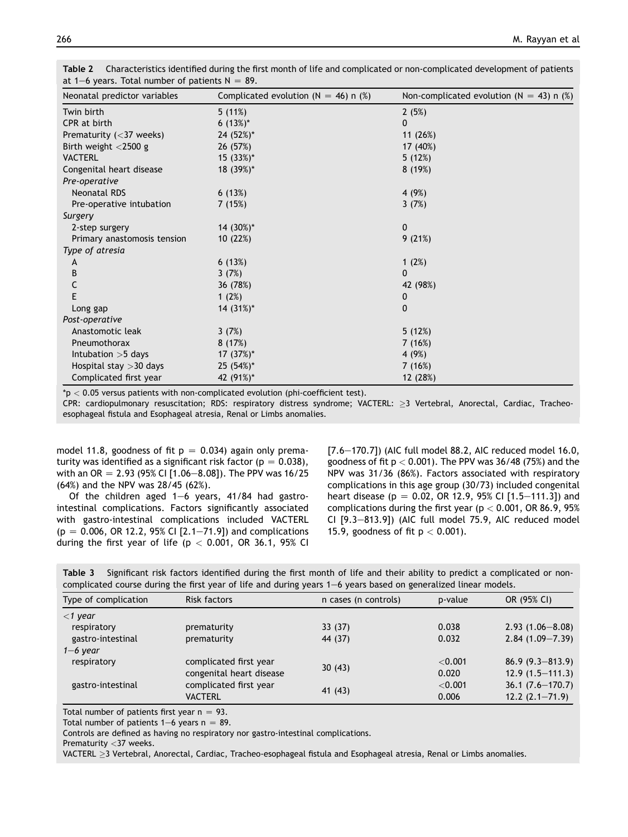| Neonatal predictor variables | Complicated evolution ( $N = 46$ ) n (%) | Non-complicated evolution ( $N = 43$ ) n (%) |
|------------------------------|------------------------------------------|----------------------------------------------|
| Twin birth                   | 5(11%)                                   | 2(5%)                                        |
| CPR at birth                 | 6 $(13%)^*$                              | 0                                            |
| Prematurity $(<$ 37 weeks)   | 24 (52%)*                                | 11(26%)                                      |
| Birth weight <2500 g         | 26 (57%)                                 | 17 (40%)                                     |
| <b>VACTERL</b>               | 15 (33%)*                                | 5(12%)                                       |
| Congenital heart disease     | 18 (39%)*                                | 8(19%)                                       |
| Pre-operative                |                                          |                                              |
| <b>Neonatal RDS</b>          | 6(13%)                                   | 4 (9%)                                       |
| Pre-operative intubation     | 7(15%)                                   | 3(7%)                                        |
| Surgery                      |                                          |                                              |
| 2-step surgery               | 14 (30%)*                                | 0                                            |
| Primary anastomosis tension  | 10 (22%)                                 | 9(21%)                                       |
| Type of atresia              |                                          |                                              |
| A                            | 6(13%)                                   | 1 $(2%)$                                     |
| B                            | 3(7%)                                    | $\mathbf{0}$                                 |
| C                            | 36 (78%)                                 | 42 (98%)                                     |
| E                            | 1 $(2%)$                                 | 0                                            |
| Long gap                     | 14 (31%)*                                | 0                                            |
| Post-operative               |                                          |                                              |
| Anastomotic leak             | 3(7%)                                    | 5(12%)                                       |
| Pneumothorax                 | 8(17%)                                   | 7(16%)                                       |
| Intubation $>5$ days         | 17 (37%)*                                | 4 (9%)                                       |
| Hospital stay > 30 days      | 25 (54%)*                                | 7(16%)                                       |
| Complicated first year       | 42 (91%)*                                | 12 (28%)                                     |

<span id="page-5-0"></span>Table 2 Characteristics identified during the first month of life and complicated or non-complicated development of patients at 1–6 years. Total number of patients  $N = 89$ .

 $p < 0.05$  versus patients with non-complicated evolution (phi-coefficient test).

CPR: cardiopulmonary resuscitation; RDS: respiratory distress syndrome; VACTERL:  $\geq$ 3 Vertebral, Anorectal, Cardiac, Tracheoesophageal fistula and Esophageal atresia, Renal or Limbs anomalies.

model 11.8, goodness of fit  $p = 0.034$ ) again only prematurity was identified as a significant risk factor ( $p = 0.038$ ), with an OR = 2.93 (95% CI [1.06-8.08]). The PPV was 16/25 (64%) and the NPV was 28/45 (62%).

Of the children aged  $1-6$  years,  $41/84$  had gastrointestinal complications. Factors significantly associated with gastro-intestinal complications included VACTERL  $(p = 0.006, \text{ OR } 12.2, 95\% \text{ CI } [2.1–71.9])$  and complications during the first year of life ( $p < 0.001$ , OR 36.1, 95% CI  $[7.6-170.7]$ ) (AIC full model 88.2, AIC reduced model 16.0, goodness of fit  $p < 0.001$ ). The PPV was 36/48 (75%) and the NPV was 31/36 (86%). Factors associated with respiratory complications in this age group (30/73) included congenital heart disease (p = 0.02, OR 12.9, 95% CI [1.5-111.3]) and complications during the first year ( $p < 0.001$ , OR 86.9, 95% CI  $[9.3-813.9]$ ) (AIC full model 75.9, AIC reduced model 15.9, goodness of fit  $p < 0.001$ ).

Table 3 Significant risk factors identified during the first month of life and their ability to predict a complicated or noncomplicated course during the first year of life and during years  $1-6$  years based on generalized linear models.

| Type of complication                                              | <b>Risk factors</b>    | n cases (n controls) | p-value             | OR (95% CI)          |
|-------------------------------------------------------------------|------------------------|----------------------|---------------------|----------------------|
| $<$ 1 year                                                        |                        |                      |                     |                      |
| respiratory                                                       | prematurity            | 33(37)               | 0.038               | $2.93(1.06 - 8.08)$  |
| gastro-intestinal                                                 | prematurity            | 44 (37)              | 0.032               | $2.84(1.09 - 7.39)$  |
| $1 - 6$ year                                                      |                        |                      |                     |                      |
| respiratory<br>complicated first year<br>congenital heart disease |                        | $<$ 0.001            | $86.9(9.3 - 813.9)$ |                      |
|                                                                   |                        | 30(43)               | 0.020               | $12.9(1.5 - 111.3)$  |
| gastro-intestinal                                                 | complicated first year |                      | $<$ 0.001           | $36.1 (7.6 - 170.7)$ |
|                                                                   | <b>VACTERL</b>         | 41 (43)              | 0.006               | $12.2(2.1 - 71.9)$   |

Total number of patients first year  $n = 93$ .

Total number of patients  $1-6$  years n = 89.

Controls are defined as having no respiratory nor gastro-intestinal complications.

Prematurity <37 weeks.

VACTERL > 3 Vertebral, Anorectal, Cardiac, Tracheo-esophageal fistula and Esophageal atresia, Renal or Limbs anomalies.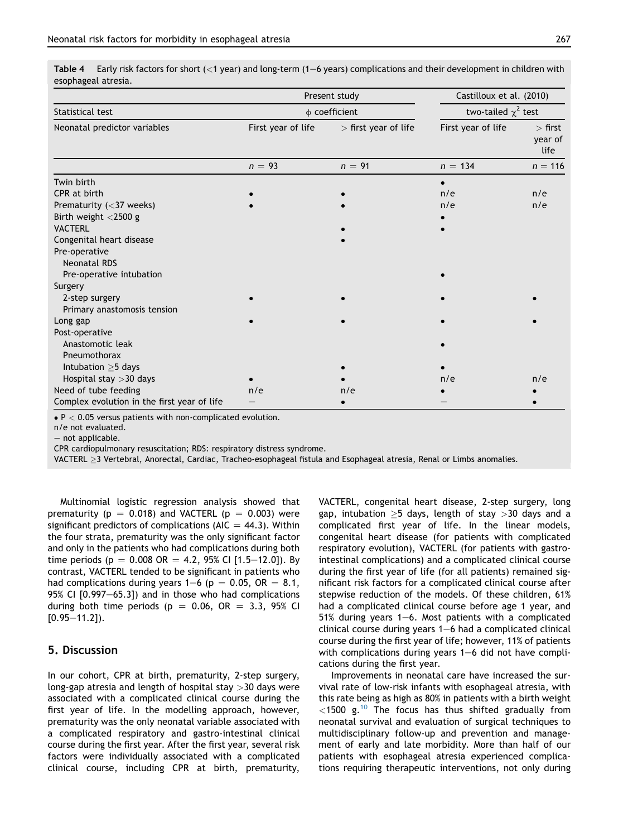<span id="page-6-0"></span>Table  $4$  Early risk factors for short (<1 year) and long-term (1–6 years) complications and their development in children with esophageal atresia.

|                                             | Present study      | Castilloux et al. (2010) |                          |                              |  |
|---------------------------------------------|--------------------|--------------------------|--------------------------|------------------------------|--|
| Statistical test                            | $\phi$ coefficient |                          | two-tailed $\chi^2$ test |                              |  |
| Neonatal predictor variables                | First year of life | $>$ first year of life   | First year of life       | $>$ first<br>year of<br>life |  |
|                                             | $n = 93$           | $n = 91$                 | $n = 134$                | $n = 116$                    |  |
| Twin birth                                  |                    |                          |                          |                              |  |
| CPR at birth                                |                    |                          | n/e                      | n/e                          |  |
| Prematurity (<37 weeks)                     |                    |                          | n/e                      | n/e                          |  |
| Birth weight <2500 g                        |                    |                          |                          |                              |  |
| <b>VACTERL</b>                              |                    |                          |                          |                              |  |
| Congenital heart disease                    |                    |                          |                          |                              |  |
| Pre-operative                               |                    |                          |                          |                              |  |
| <b>Neonatal RDS</b>                         |                    |                          |                          |                              |  |
| Pre-operative intubation                    |                    |                          |                          |                              |  |
| Surgery                                     |                    |                          |                          |                              |  |
| 2-step surgery                              |                    |                          |                          |                              |  |
| Primary anastomosis tension                 |                    |                          |                          |                              |  |
| Long gap                                    |                    |                          |                          |                              |  |
| Post-operative                              |                    |                          |                          |                              |  |
| Anastomotic leak                            |                    |                          |                          |                              |  |
| Pneumothorax                                |                    |                          |                          |                              |  |
| Intubation $\geq$ 5 days                    |                    |                          |                          |                              |  |
| Hospital stay > 30 days                     |                    |                          | n/e                      | n/e                          |  |
| Need of tube feeding                        | n/e                | n/e                      |                          |                              |  |
| Complex evolution in the first year of life |                    |                          |                          |                              |  |

 $\bullet$  P  $<$  0.05 versus patients with non-complicated evolution.

n/e not evaluated.

 $-$  not applicable.

CPR cardiopulmonary resuscitation; RDS: respiratory distress syndrome.

VACTERL 3 Vertebral, Anorectal, Cardiac, Tracheo-esophageal fistula and Esophageal atresia, Renal or Limbs anomalies.

Multinomial logistic regression analysis showed that prematurity ( $p = 0.018$ ) and VACTERL ( $p = 0.003$ ) were significant predictors of complications (AIC  $=$  44.3). Within the four strata, prematurity was the only significant factor and only in the patients who had complications during both time periods (p = 0.008 OR = 4.2, 95% CI [1.5–12.0]). By contrast, VACTERL tended to be significant in patients who had complications during years  $1-6$  (p = 0.05, OR = 8.1, 95% CI  $[0.997-65.3]$ ) and in those who had complications during both time periods ( $p = 0.06$ , OR = 3.3, 95% CI  $[0.95 - 11.2]$ ).

# 5. Discussion

In our cohort, CPR at birth, prematurity, 2-step surgery, long-gap atresia and length of hospital stay >30 days were associated with a complicated clinical course during the first year of life. In the modelling approach, however, prematurity was the only neonatal variable associated with a complicated respiratory and gastro-intestinal clinical course during the first year. After the first year, several risk factors were individually associated with a complicated clinical course, including CPR at birth, prematurity, VACTERL, congenital heart disease, 2-step surgery, long gap, intubation  $\geq$ 5 days, length of stay  $>$ 30 days and a complicated first year of life. In the linear models, congenital heart disease (for patients with complicated respiratory evolution), VACTERL (for patients with gastrointestinal complications) and a complicated clinical course during the first year of life (for all patients) remained significant risk factors for a complicated clinical course after stepwise reduction of the models. Of these children, 61% had a complicated clinical course before age 1 year, and 51% during years 1-6. Most patients with a complicated clinical course during years  $1-6$  had a complicated clinical course during the first year of life; however, 11% of patients with complications during years  $1-6$  did not have complications during the first year.

Improvements in neonatal care have increased the survival rate of low-risk infants with esophageal atresia, with this rate being as high as 80% in patients with a birth weight  $<$ 1500 g.<sup>[10](#page-8-0)</sup> The focus has thus shifted gradually from neonatal survival and evaluation of surgical techniques to multidisciplinary follow-up and prevention and management of early and late morbidity. More than half of our patients with esophageal atresia experienced complications requiring therapeutic interventions, not only during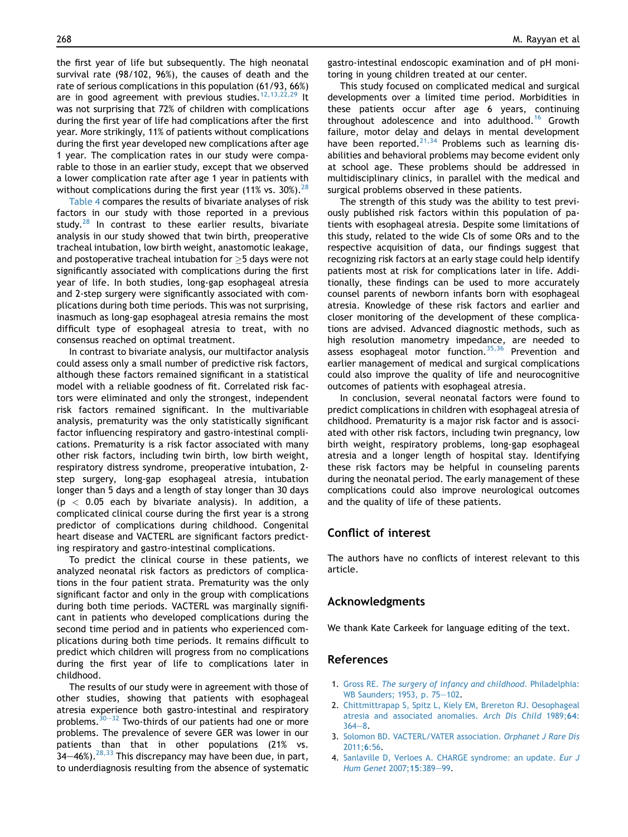<span id="page-7-0"></span>the first year of life but subsequently. The high neonatal survival rate (98/102, 96%), the causes of death and the rate of serious complications in this population (61/93, 66%) are in good agreement with previous studies.<sup>[12,13,22,29](#page-8-0)</sup> It was not surprising that 72% of children with complications during the first year of life had complications after the first year. More strikingly, 11% of patients without complications during the first year developed new complications after age 1 year. The complication rates in our study were comparable to those in an earlier study, except that we observed a lower complication rate after age 1 year in patients with without complications during the first year (11% vs.  $30\%$ ).<sup>[28](#page-8-0)</sup>

[Table 4](#page-6-0) compares the results of bivariate analyses of risk factors in our study with those reported in a previous study. $^{28}$  $^{28}$  $^{28}$  In contrast to these earlier results, bivariate analysis in our study showed that twin birth, preoperative tracheal intubation, low birth weight, anastomotic leakage, and postoperative tracheal intubation for  $>$  5 days were not significantly associated with complications during the first year of life. In both studies, long-gap esophageal atresia and 2-step surgery were significantly associated with complications during both time periods. This was not surprising, inasmuch as long-gap esophageal atresia remains the most difficult type of esophageal atresia to treat, with no consensus reached on optimal treatment.

In contrast to bivariate analysis, our multifactor analysis could assess only a small number of predictive risk factors, although these factors remained significant in a statistical model with a reliable goodness of fit. Correlated risk factors were eliminated and only the strongest, independent risk factors remained significant. In the multivariable analysis, prematurity was the only statistically significant factor influencing respiratory and gastro-intestinal complications. Prematurity is a risk factor associated with many other risk factors, including twin birth, low birth weight, respiratory distress syndrome, preoperative intubation, 2 step surgery, long-gap esophageal atresia, intubation longer than 5 days and a length of stay longer than 30 days  $(p < 0.05$  each by bivariate analysis). In addition, a complicated clinical course during the first year is a strong predictor of complications during childhood. Congenital heart disease and VACTERL are significant factors predicting respiratory and gastro-intestinal complications.

To predict the clinical course in these patients, we analyzed neonatal risk factors as predictors of complications in the four patient strata. Prematurity was the only significant factor and only in the group with complications during both time periods. VACTERL was marginally significant in patients who developed complications during the second time period and in patients who experienced complications during both time periods. It remains difficult to predict which children will progress from no complications during the first year of life to complications later in childhood.

The results of our study were in agreement with those of other studies, showing that patients with esophageal atresia experience both gastro-intestinal and respiratory problems. $30-32$  $30-32$  Two-thirds of our patients had one or more problems. The prevalence of severe GER was lower in our patients than that in other populations (21% vs.  $34-46\%$ ).<sup>28,33</sup> This discrepancy may have been due, in part, to underdiagnosis resulting from the absence of systematic

gastro-intestinal endoscopic examination and of pH monitoring in young children treated at our center.

This study focused on complicated medical and surgical developments over a limited time period. Morbidities in these patients occur after age 6 years, continuing throughout adolescence and into adulthood.<sup>[16](#page-8-0)</sup> Growth failure, motor delay and delays in mental development have been reported.<sup>[21,34](#page-8-0)</sup> Problems such as learning disabilities and behavioral problems may become evident only at school age. These problems should be addressed in multidisciplinary clinics, in parallel with the medical and surgical problems observed in these patients.

The strength of this study was the ability to test previously published risk factors within this population of patients with esophageal atresia. Despite some limitations of this study, related to the wide CIs of some ORs and to the respective acquisition of data, our findings suggest that recognizing risk factors at an early stage could help identify patients most at risk for complications later in life. Additionally, these findings can be used to more accurately counsel parents of newborn infants born with esophageal atresia. Knowledge of these risk factors and earlier and closer monitoring of the development of these complications are advised. Advanced diagnostic methods, such as high resolution manometry impedance, are needed to assess esophageal motor function.<sup>[35,36](#page-8-0)</sup> Prevention and earlier management of medical and surgical complications could also improve the quality of life and neurocognitive outcomes of patients with esophageal atresia.

In conclusion, several neonatal factors were found to predict complications in children with esophageal atresia of childhood. Prematurity is a major risk factor and is associated with other risk factors, including twin pregnancy, low birth weight, respiratory problems, long-gap esophageal atresia and a longer length of hospital stay. Identifying these risk factors may be helpful in counseling parents during the neonatal period. The early management of these complications could also improve neurological outcomes and the quality of life of these patients.

# Conflict of interest

The authors have no conflicts of interest relevant to this article.

#### Acknowledgments

We thank Kate Carkeek for language editing of the text.

# References

- 1. Gross RE. [The surgery of infancy and childhood](http://refhub.elsevier.com/S1875-9572(18)30067-6/sref1). Philadelphia: [WB Saunders; 1953, p. 75](http://refhub.elsevier.com/S1875-9572(18)30067-6/sref1)-[102](http://refhub.elsevier.com/S1875-9572(18)30067-6/sref1).
- 2. [Chittmittrapap S, Spitz L, Kiely EM, Brereton RJ. Oesophageal](http://refhub.elsevier.com/S1875-9572(18)30067-6/sref2) [atresia and associated anomalies.](http://refhub.elsevier.com/S1875-9572(18)30067-6/sref2) Arch Dis Child 1989;64:  $364 - 8$  $364 - 8$  $364 - 8$ .
- 3. [Solomon BD. VACTERL/VATER association.](http://refhub.elsevier.com/S1875-9572(18)30067-6/sref3) Orphanet J Rare Dis [2011;](http://refhub.elsevier.com/S1875-9572(18)30067-6/sref3)6:56.
- 4. [Sanlaville D, Verloes A. CHARGE syndrome: an update.](http://refhub.elsevier.com/S1875-9572(18)30067-6/sref4) Eur J [Hum Genet](http://refhub.elsevier.com/S1875-9572(18)30067-6/sref4) 2007;15:389-[99](http://refhub.elsevier.com/S1875-9572(18)30067-6/sref4).